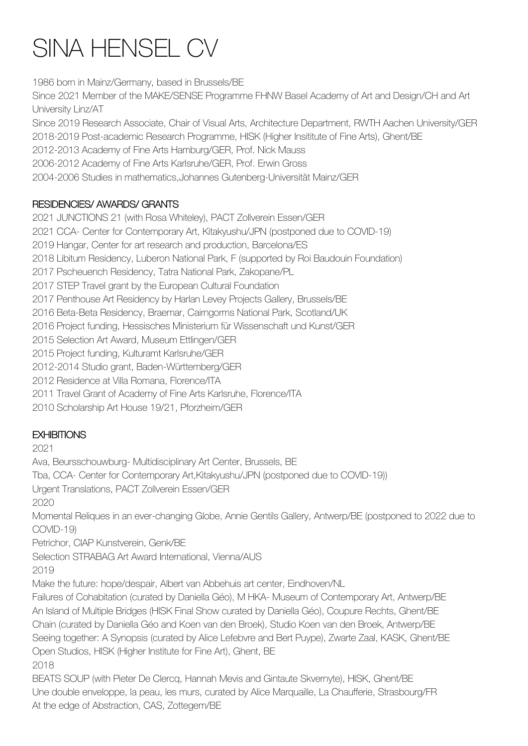# SINA HENSEL CV

1986 born in Mainz/Germany, based in Brussels/BE Since 2021 Member of the MAKE/SENSE Programme FHNW Basel Academy of Art and Design/CH and Art University Linz/AT Since 2019 Research Associate, Chair of Visual Arts, Architecture Department, RWTH Aachen University/GER 2018-2019 Post-academic Research Programme, HISK (Higher Insititute of Fine Arts), Ghent/BE 2012-2013 Academy of Fine Arts Hamburg/GER, Prof. Nick Mauss 2006-2012 Academy of Fine Arts Karlsruhe/GER, Prof. Erwin Gross 2004-2006 Studies in mathematics,Johannes Gutenberg-Universität Mainz/GER

#### RESIDENCIES/ AWARDS/ GRANTS

2021 JUNCTIONS 21 (with Rosa Whiteley), PACT Zollverein Essen/GER

2021 CCA- Center for Contemporary Art, Kitakyushu/JPN (postponed due to COVID-19)

2019 Hangar, Center for art research and production, Barcelona/ES

2018 Libitum Residency, Luberon National Park, F (supported by Roi Baudouin Foundation)

2017 Pscheuench Residency, Tatra National Park, Zakopane/PL

2017 STEP Travel grant by the European Cultural Foundation

2017 Penthouse Art Residency by Harlan Levey Projects Gallery, Brussels/BE

2016 Beta-Beta Residency, Braemar, Cairngorms National Park, Scotland/UK

2016 Project funding, Hessisches Ministerium für Wissenschaft und Kunst/GER

2015 Selection Art Award, Museum Ettlingen/GER

2015 Project funding, Kulturamt Karlsruhe/GER

2012-2014 Studio grant, Baden-Württemberg/GER

2012 Residence at Villa Romana, Florence/ITA

2011 Travel Grant of Academy of Fine Arts Karlsruhe, Florence/ITA

2010 Scholarship Art House 19/21, Pforzheim/GER

### **EXHIBITIONS**

2021

Ava, Beursschouwburg- Multidisciplinary Art Center, Brussels, BE

Tba, CCA- Center for Contemporary Art,Kitakyushu/JPN (postponed due to COVID-19))

Urgent Translations, PACT Zollverein Essen/GER

2020

Momental Reliques in an ever-changing Globe, Annie Gentils Gallery, Antwerp/BE (postponed to 2022 due to COVID-19)

Petrichor, CIAP Kunstverein, Genk/BE

Selection STRABAG Art Award International, Vienna/AUS

2019

Make the future: hope/despair, Albert van Abbehuis art center, Eindhoven/NL

Failures of Cohabitation (curated by Daniella Géo), M HKA- Museum of Contemporary Art, Antwerp/BE An Island of Multiple Bridges (HISK Final Show curated by Daniella Géo), Coupure Rechts, Ghent/BE Chain (curated by Daniella Géo and Koen van den Broek), Studio Koen van den Broek, Antwerp/BE Seeing together: A Synopsis (curated by Alice Lefebvre and Bert Puype), Zwarte Zaal, KASK, Ghent/BE Open Studios, HISK (Higher Institute for Fine Art), Ghent, BE

2018

BEATS SOUP (with Pieter De Clercq, Hannah Mevis and Gintaute Skvernyte), HISK, Ghent/BE Une double enveloppe, la peau, les murs, curated by Alice Marquaille, La Chaufferie, Strasbourg/FR At the edge of Abstraction, CAS, Zottegem/BE